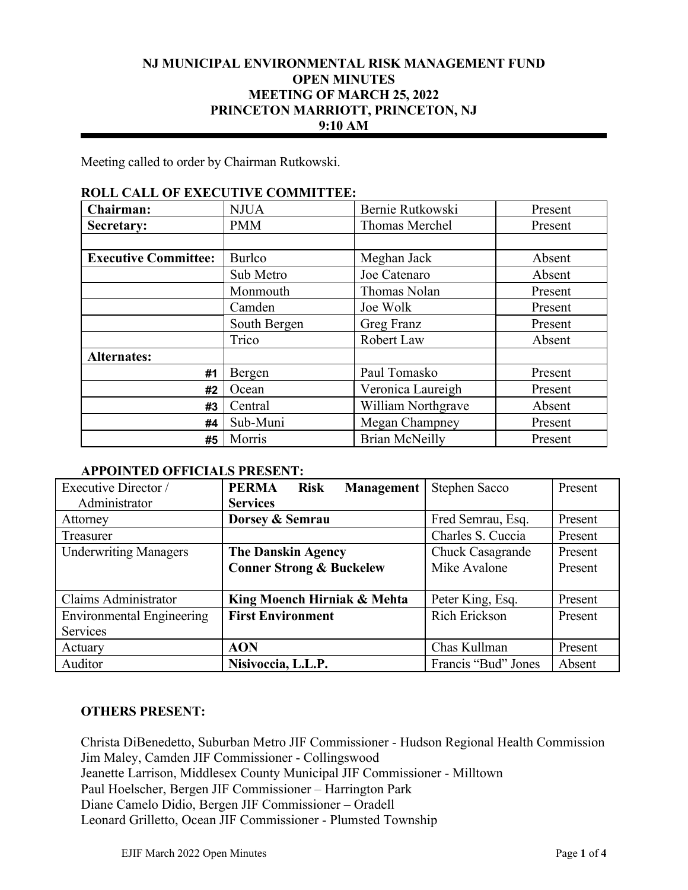## **NJ MUNICIPAL ENVIRONMENTAL RISK MANAGEMENT FUND OPEN MINUTES MEETING OF MARCH 25, 2022 PRINCETON MARRIOTT, PRINCETON, NJ 9:10 AM**

Meeting called to order by Chairman Rutkowski.

## **ROLL CALL OF EXECUTIVE COMMITTEE:**

| Chairman:                   | <b>NJUA</b>   | Bernie Rutkowski      | Present |
|-----------------------------|---------------|-----------------------|---------|
| Secretary:                  | <b>PMM</b>    | Thomas Merchel        | Present |
|                             |               |                       |         |
| <b>Executive Committee:</b> | <b>Burlco</b> | Meghan Jack           | Absent  |
|                             | Sub Metro     | Joe Catenaro          | Absent  |
|                             | Monmouth      | Thomas Nolan          | Present |
|                             | Camden        | Joe Wolk              | Present |
|                             | South Bergen  | Greg Franz            | Present |
|                             | Trico         | Robert Law            | Absent  |
| <b>Alternates:</b>          |               |                       |         |
| #1                          | Bergen        | Paul Tomasko          | Present |
| #2                          | Ocean         | Veronica Laureigh     | Present |
| #3                          | Central       | William Northgrave    | Absent  |
| #4                          | Sub-Muni      | Megan Champney        | Present |
| #5                          | Morris        | <b>Brian McNeilly</b> | Present |

#### **APPOINTED OFFICIALS PRESENT:**

| Executive Director /             | <b>PERMA</b><br><b>Risk</b><br><b>Management</b> | Stephen Sacco        | Present |
|----------------------------------|--------------------------------------------------|----------------------|---------|
| Administrator                    | <b>Services</b>                                  |                      |         |
| Attorney                         | Dorsey & Semrau                                  | Fred Semrau, Esq.    | Present |
| Treasurer                        |                                                  | Charles S. Cuccia    | Present |
| <b>Underwriting Managers</b>     | <b>The Danskin Agency</b>                        | Chuck Casagrande     | Present |
|                                  | <b>Conner Strong &amp; Buckelew</b>              | Mike Avalone         | Present |
|                                  |                                                  |                      |         |
| Claims Administrator             | King Moench Hirniak & Mehta                      | Peter King, Esq.     | Present |
| <b>Environmental Engineering</b> | <b>First Environment</b>                         | <b>Rich Erickson</b> | Present |
| Services                         |                                                  |                      |         |
| Actuary                          | <b>AON</b>                                       | Chas Kullman         | Present |
| Auditor                          | Nisivoccia, L.L.P.                               | Francis "Bud" Jones  | Absent  |

## **OTHERS PRESENT:**

Christa DiBenedetto, Suburban Metro JIF Commissioner - Hudson Regional Health Commission Jim Maley, Camden JIF Commissioner - Collingswood Jeanette Larrison, Middlesex County Municipal JIF Commissioner - Milltown Paul Hoelscher, Bergen JIF Commissioner – Harrington Park Diane Camelo Didio, Bergen JIF Commissioner – Oradell Leonard Grilletto, Ocean JIF Commissioner - Plumsted Township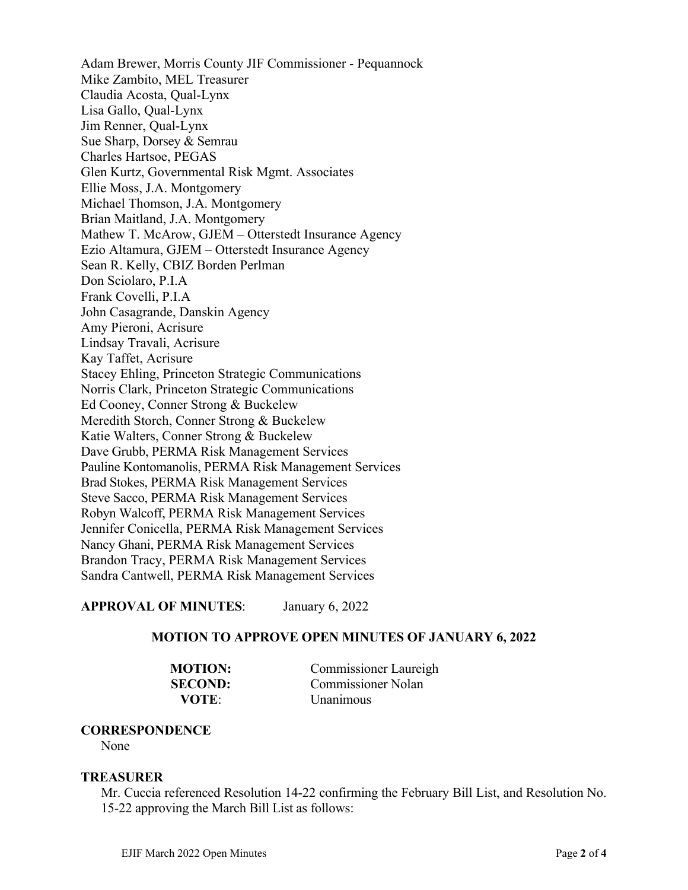Adam Brewer, Morris County JIF Commissioner - Pequannock Mike Zambito, MEL Treasurer Claudia Acosta, Qual-Lynx Lisa Gallo, Qual-Lynx Jim Renner, Qual-Lynx Sue Sharp, Dorsey & Semrau Charles Hartsoe, PEGAS Glen Kurtz, Governmental Risk Mgmt. Associates Ellie Moss, J.A. Montgomery Michael Thomson, J.A. Montgomery Brian Maitland, J.A. Montgomery Mathew T. McArow, GJEM – Otterstedt Insurance Agency Ezio Altamura, GJEM – Otterstedt Insurance Agency Sean R. Kelly, CBIZ Borden Perlman Don Sciolaro, P.I.A Frank Covelli, P.I.A John Casagrande, Danskin Agency Amy Pieroni, Acrisure Lindsay Travali, Acrisure Kay Taffet, Acrisure Stacey Ehling, Princeton Strategic Communications Norris Clark, Princeton Strategic Communications Ed Cooney, Conner Strong & Buckelew Meredith Storch, Conner Strong & Buckelew Katie Walters, Conner Strong & Buckelew Dave Grubb, PERMA Risk Management Services Pauline Kontomanolis, PERMA Risk Management Services Brad Stokes, PERMA Risk Management Services Steve Sacco, PERMA Risk Management Services Robyn Walcoff, PERMA Risk Management Services Jennifer Conicella, PERMA Risk Management Services Nancy Ghani, PERMA Risk Management Services Brandon Tracy, PERMA Risk Management Services Sandra Cantwell, PERMA Risk Management Services

## **APPROVAL OF MINUTES**: January 6, 2022

#### **MOTION TO APPROVE OPEN MINUTES OF JANUARY 6, 2022**

**MOTION:** Commissioner Laureigh **SECOND:** Commissioner Nolan **VOTE**: Unanimous

#### **CORRESPONDENCE**

None

#### **TREASURER**

Mr. Cuccia referenced Resolution 14-22 confirming the February Bill List, and Resolution No. 15-22 approving the March Bill List as follows: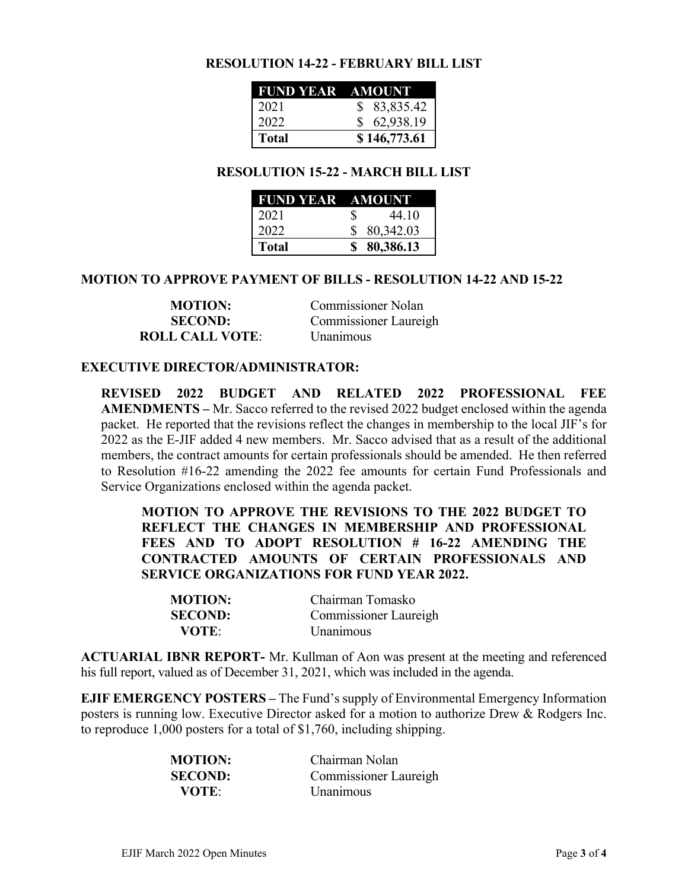## **RESOLUTION 14-22 - FEBRUARY BILL LIST**

| FUND YEAR AMOUNT |              |
|------------------|--------------|
| 2021             | \$83,835.42  |
| 2022             | \$62,938.19  |
| <b>Total</b>     | \$146,773.61 |

## **RESOLUTION 15-22 - MARCH BILL LIST**

| <b>FUND YEAR AMOUNT</b> |             |
|-------------------------|-------------|
| 2021                    | 44.10<br>S  |
| 2022                    | \$80,342.03 |
| <b>Total</b>            | \$80,386.13 |

## **MOTION TO APPROVE PAYMENT OF BILLS - RESOLUTION 14-22 AND 15-22**

| <b>MOTION:</b>         | <b>Commissioner Nolan</b> |
|------------------------|---------------------------|
| <b>SECOND:</b>         | Commissioner Laureigh     |
| <b>ROLL CALL VOTE:</b> | Unanimous                 |

#### **EXECUTIVE DIRECTOR/ADMINISTRATOR:**

**REVISED 2022 BUDGET AND RELATED 2022 PROFESSIONAL FEE AMENDMENTS –** Mr. Sacco referred to the revised 2022 budget enclosed within the agenda packet. He reported that the revisions reflect the changes in membership to the local JIF's for 2022 as the E-JIF added 4 new members. Mr. Sacco advised that as a result of the additional members, the contract amounts for certain professionals should be amended. He then referred to Resolution #16-22 amending the 2022 fee amounts for certain Fund Professionals and Service Organizations enclosed within the agenda packet.

**MOTION TO APPROVE THE REVISIONS TO THE 2022 BUDGET TO REFLECT THE CHANGES IN MEMBERSHIP AND PROFESSIONAL FEES AND TO ADOPT RESOLUTION # 16-22 AMENDING THE CONTRACTED AMOUNTS OF CERTAIN PROFESSIONALS AND SERVICE ORGANIZATIONS FOR FUND YEAR 2022.** 

| <b>MOTION:</b> | Chairman Tomasko      |
|----------------|-----------------------|
| <b>SECOND:</b> | Commissioner Laureigh |
| VOTE:          | <i>Unanimous</i>      |

**ACTUARIAL IBNR REPORT-** Mr. Kullman of Aon was present at the meeting and referenced his full report, valued as of December 31, 2021, which was included in the agenda.

**EJIF EMERGENCY POSTERS –** The Fund's supply of Environmental Emergency Information posters is running low. Executive Director asked for a motion to authorize Drew & Rodgers Inc. to reproduce 1,000 posters for a total of \$1,760, including shipping.

| <b>MOTION:</b> | Chairman Nolan        |
|----------------|-----------------------|
| <b>SECOND:</b> | Commissioner Laureigh |
| VOTE:          | <i>Unanimous</i>      |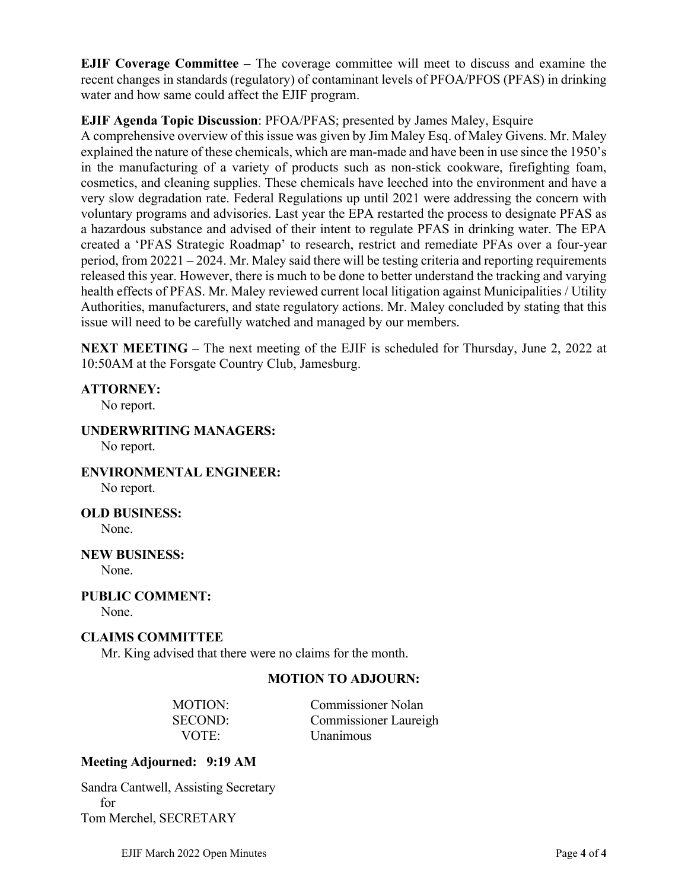**EJIF Coverage Committee –** The coverage committee will meet to discuss and examine the recent changes in standards (regulatory) of contaminant levels of PFOA/PFOS (PFAS) in drinking water and how same could affect the EJIF program.

# **EJIF Agenda Topic Discussion**: PFOA/PFAS; presented by James Maley, Esquire

A comprehensive overview of this issue was given by Jim Maley Esq. of Maley Givens. Mr. Maley explained the nature of these chemicals, which are man-made and have been in use since the 1950's in the manufacturing of a variety of products such as non-stick cookware, firefighting foam, cosmetics, and cleaning supplies. These chemicals have leeched into the environment and have a very slow degradation rate. Federal Regulations up until 2021 were addressing the concern with voluntary programs and advisories. Last year the EPA restarted the process to designate PFAS as a hazardous substance and advised of their intent to regulate PFAS in drinking water. The EPA created a 'PFAS Strategic Roadmap' to research, restrict and remediate PFAs over a four-year period, from 20221 – 2024. Mr. Maley said there will be testing criteria and reporting requirements released this year. However, there is much to be done to better understand the tracking and varying health effects of PFAS. Mr. Maley reviewed current local litigation against Municipalities / Utility Authorities, manufacturers, and state regulatory actions. Mr. Maley concluded by stating that this issue will need to be carefully watched and managed by our members.

**NEXT MEETING –** The next meeting of the EJIF is scheduled for Thursday, June 2, 2022 at 10:50AM at the Forsgate Country Club, Jamesburg.

# **ATTORNEY:**

No report.

**UNDERWRITING MANAGERS:**

No report.

**ENVIRONMENTAL ENGINEER:**  No report.

**OLD BUSINESS:** 

None.

**NEW BUSINESS:**  None.

**PUBLIC COMMENT:** 

None.

# **CLAIMS COMMITTEE**

Mr. King advised that there were no claims for the month.

# **MOTION TO ADJOURN:**

| MOTION:        |  |
|----------------|--|
| <b>SECOND:</b> |  |
| VOTE:          |  |

Commissioner Nolan Commissioner Laureigh Unanimous

# **Meeting Adjourned: 9:19 AM**

Sandra Cantwell, Assisting Secretary for Tom Merchel, SECRETARY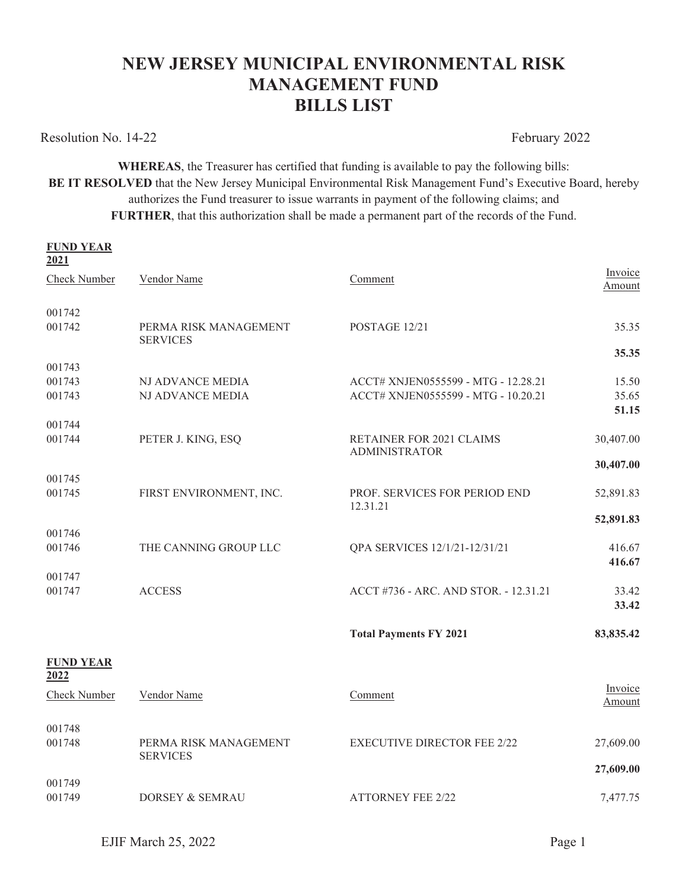# **NEW JERSEY MUNICIPAL ENVIRONMENTAL RISK MANAGEMENT FUND BILLS LIST**

Resolution No. 14-22 February 2022

**WHEREAS**, the Treasurer has certified that funding is available to pay the following bills: BE IT RESOLVED that the New Jersey Municipal Environmental Risk Management Fund's Executive Board, hereby authorizes the Fund treasurer to issue warrants in payment of the following claims; and **FURTHER**, that this authorization shall be made a permanent part of the records of the Fund.

| <b>FUND YEAR</b><br>2021 |                                          |                                                                            |                         |
|--------------------------|------------------------------------------|----------------------------------------------------------------------------|-------------------------|
| <b>Check Number</b>      | Vendor Name                              | Comment                                                                    | Invoice<br>Amount       |
| 001742<br>001742         | PERMA RISK MANAGEMENT<br><b>SERVICES</b> | POSTAGE 12/21                                                              | 35.35                   |
| 001743                   |                                          |                                                                            | 35.35                   |
| 001743<br>001743         | NJ ADVANCE MEDIA<br>NJ ADVANCE MEDIA     | ACCT# XNJEN0555599 - MTG - 12.28.21<br>ACCT# XNJEN0555599 - MTG - 10.20.21 | 15.50<br>35.65<br>51.15 |
| 001744                   |                                          |                                                                            |                         |
| 001744                   | PETER J. KING, ESQ                       | <b>RETAINER FOR 2021 CLAIMS</b><br><b>ADMINISTRATOR</b>                    | 30,407.00               |
|                          |                                          |                                                                            | 30,407.00               |
| 001745<br>001745         | FIRST ENVIRONMENT, INC.                  | PROF. SERVICES FOR PERIOD END<br>12.31.21                                  | 52,891.83               |
|                          |                                          |                                                                            | 52,891.83               |
| 001746<br>001746         | THE CANNING GROUP LLC                    | QPA SERVICES 12/1/21-12/31/21                                              | 416.67<br>416.67        |
| 001747                   |                                          |                                                                            |                         |
| 001747                   | <b>ACCESS</b>                            | ACCT #736 - ARC. AND STOR. - 12.31.21                                      | 33.42<br>33.42          |
|                          |                                          | <b>Total Payments FY 2021</b>                                              | 83,835.42               |
| <b>FUND YEAR</b><br>2022 |                                          |                                                                            |                         |
| <b>Check Number</b>      | Vendor Name                              | Comment                                                                    | Invoice<br>Amount       |
| 001748<br>001748         | PERMA RISK MANAGEMENT<br><b>SERVICES</b> | <b>EXECUTIVE DIRECTOR FEE 2/22</b>                                         | 27,609.00               |
| 001749                   |                                          |                                                                            | 27,609.00               |
| 001749                   | <b>DORSEY &amp; SEMRAU</b>               | <b>ATTORNEY FEE 2/22</b>                                                   | 7,477.75                |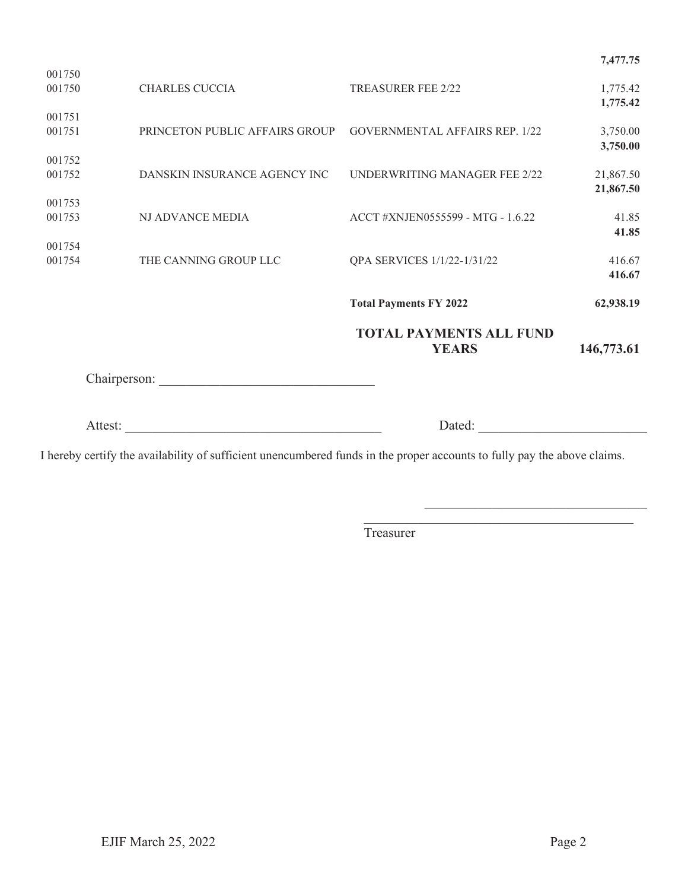|                  |                                |                                                | 7,477.75               |
|------------------|--------------------------------|------------------------------------------------|------------------------|
| 001750<br>001750 | <b>CHARLES CUCCIA</b>          | <b>TREASURER FEE 2/22</b>                      | 1,775.42<br>1,775.42   |
| 001751<br>001751 | PRINCETON PUBLIC AFFAIRS GROUP | <b>GOVERNMENTAL AFFAIRS REP. 1/22</b>          | 3,750.00<br>3,750.00   |
| 001752<br>001752 | DANSKIN INSURANCE AGENCY INC   | UNDERWRITING MANAGER FEE 2/22                  | 21,867.50<br>21,867.50 |
| 001753<br>001753 | NJ ADVANCE MEDIA               | ACCT #XNJEN0555599 - MTG - 1.6.22              | 41.85<br>41.85         |
| 001754<br>001754 | THE CANNING GROUP LLC          | QPA SERVICES 1/1/22-1/31/22                    | 416.67<br>416.67       |
|                  |                                | <b>Total Payments FY 2022</b>                  | 62,938.19              |
|                  |                                | <b>TOTAL PAYMENTS ALL FUND</b><br><b>YEARS</b> | 146,773.61             |
|                  |                                |                                                |                        |
|                  | Attest:                        | Dated:                                         |                        |

I hereby certify the availability of sufficient unencumbered funds in the proper accounts to fully pay the above claims.

**Treasurer**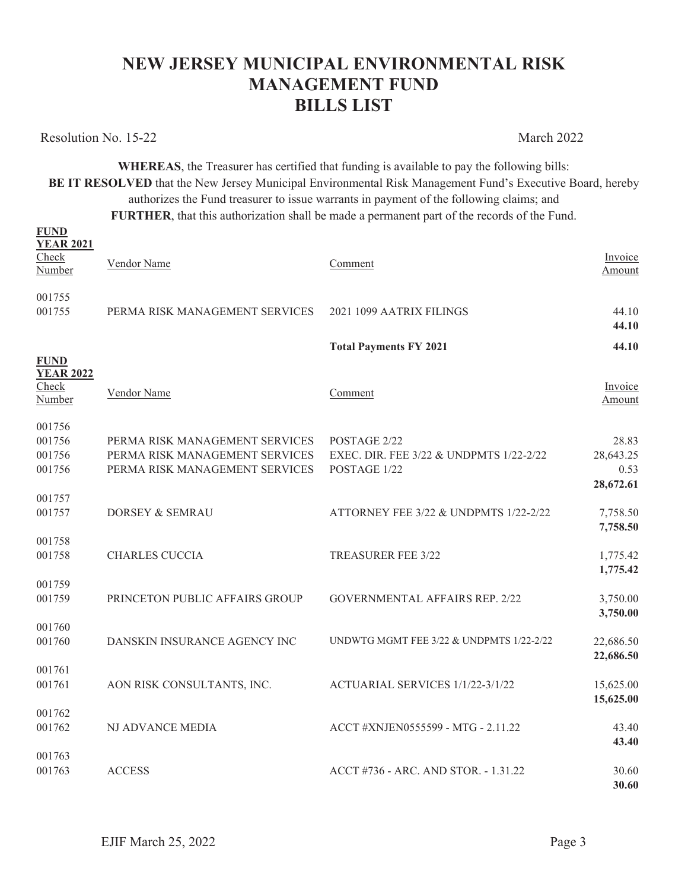# **NEW JERSEY MUNICIPAL ENVIRONMENTAL RISK MANAGEMENT FUND BILLS LIST**

Resolution No. 15-22 March 2022

**FUND** 

**WHEREAS**, the Treasurer has certified that funding is available to pay the following bills: **BE IT RESOLVED** that the New Jersey Municipal Environmental Risk Management Fund's Executive Board, hereby authorizes the Fund treasurer to issue warrants in payment of the following claims; and

**FURTHER**, that this authorization shall be made a permanent part of the records of the Fund.

| <b>YEAR 2021</b><br>Check<br>Number                | Vendor Name                                                                                        | Comment                                                                 | Invoice<br>Amount                       |
|----------------------------------------------------|----------------------------------------------------------------------------------------------------|-------------------------------------------------------------------------|-----------------------------------------|
| 001755<br>001755                                   | PERMA RISK MANAGEMENT SERVICES                                                                     | 2021 1099 AATRIX FILINGS                                                | 44.10<br>44.10                          |
|                                                    |                                                                                                    | <b>Total Payments FY 2021</b>                                           | 44.10                                   |
| <b>FUND</b><br><b>YEAR 2022</b><br>Check<br>Number | Vendor Name                                                                                        | Comment                                                                 | Invoice<br>Amount                       |
| 001756<br>001756<br>001756<br>001756               | PERMA RISK MANAGEMENT SERVICES<br>PERMA RISK MANAGEMENT SERVICES<br>PERMA RISK MANAGEMENT SERVICES | POSTAGE 2/22<br>EXEC. DIR. FEE 3/22 & UNDPMTS 1/22-2/22<br>POSTAGE 1/22 | 28.83<br>28,643.25<br>0.53<br>28,672.61 |
| 001757<br>001757                                   | DORSEY & SEMRAU                                                                                    | ATTORNEY FEE 3/22 & UNDPMTS 1/22-2/22                                   | 7,758.50<br>7,758.50                    |
| 001758<br>001758                                   | <b>CHARLES CUCCIA</b>                                                                              | <b>TREASURER FEE 3/22</b>                                               | 1,775.42<br>1,775.42                    |
| 001759<br>001759                                   | PRINCETON PUBLIC AFFAIRS GROUP                                                                     | <b>GOVERNMENTAL AFFAIRS REP. 2/22</b>                                   | 3,750.00<br>3,750.00                    |
| 001760<br>001760                                   | DANSKIN INSURANCE AGENCY INC                                                                       | UNDWTG MGMT FEE 3/22 & UNDPMTS 1/22-2/22                                | 22,686.50<br>22,686.50                  |
| 001761<br>001761                                   | AON RISK CONSULTANTS, INC.                                                                         | ACTUARIAL SERVICES 1/1/22-3/1/22                                        | 15,625.00<br>15,625.00                  |
| 001762<br>001762                                   | <b>NJ ADVANCE MEDIA</b>                                                                            | ACCT #XNJEN0555599 - MTG - 2.11.22                                      | 43.40                                   |
| 001763<br>001763                                   | <b>ACCESS</b>                                                                                      | ACCT #736 - ARC. AND STOR. - 1.31.22                                    | 43.40<br>30.60<br>30.60                 |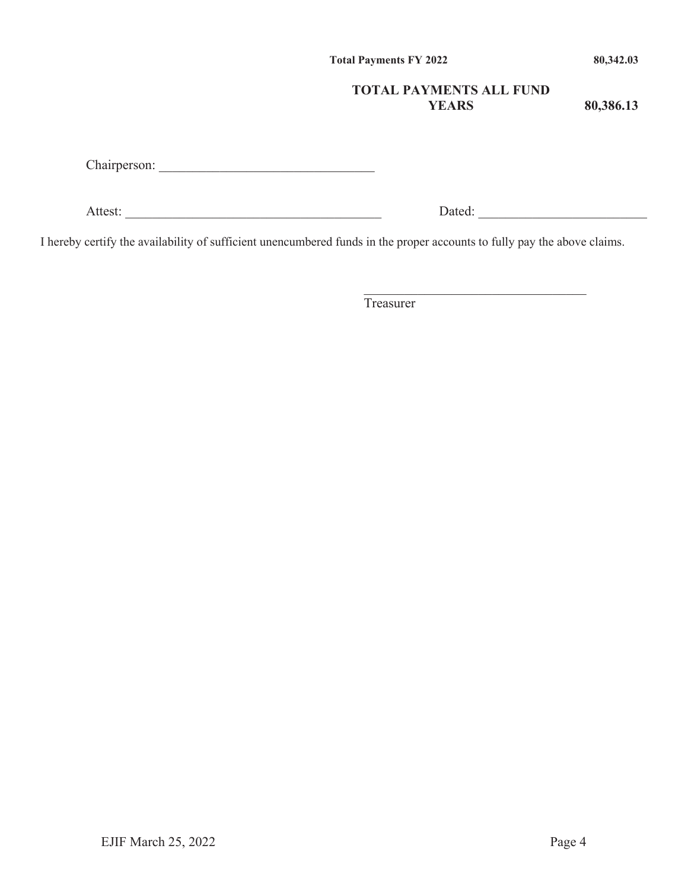**Total Payments FY 2022 80,342.03** 

# **TOTAL PAYMENTS ALL FUND YEARS**

**80,386.13** 

Chairperson: \_\_\_\_\_\_\_\_\_\_\_\_\_\_\_\_\_\_\_\_\_\_\_\_\_\_\_\_\_\_\_\_

Attest: \_\_\_\_\_\_\_\_\_\_\_\_\_\_\_\_\_\_\_\_\_\_\_\_\_\_\_\_\_\_\_\_\_\_\_\_\_\_ Dated: \_\_\_\_\_\_\_\_\_\_\_\_\_\_\_\_\_\_\_\_\_\_\_\_\_

I hereby certify the availability of sufficient unencumbered funds in the proper accounts to fully pay the above claims.

Treasurer